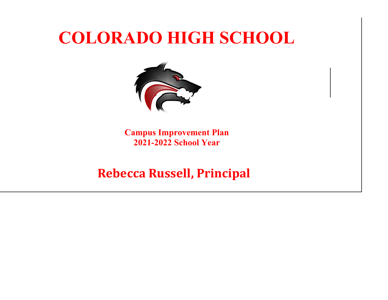

**Campus Improvement Plan 2021-2022 School Year**

# **Rebecca Russell, Principal**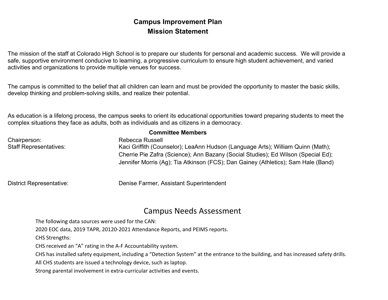## **Campus Improvement Plan Mission Statement**

The mission of the staff at Colorado High School is to prepare our students for personal and academic success. We will provide a safe, supportive environment conducive to learning, a progressive curriculum to ensure high student achievement, and varied activities and organizations to provide multiple venues for success.

The campus is committed to the belief that all children can learn and must be provided the opportunity to master the basic skills, develop thinking and problem-solving skills, and realize their potential.

As education is a lifelong process, the campus seeks to orient its educational opportunities toward preparing students to meet the complex situations they face as adults, both as individuals and as citizens in a democracy.

| <b>Committee Members</b>      |                                                                                   |  |  |  |  |  |  |
|-------------------------------|-----------------------------------------------------------------------------------|--|--|--|--|--|--|
| Chairperson:                  | Rebecca Russell                                                                   |  |  |  |  |  |  |
| <b>Staff Representatives:</b> | Kaci Griffith (Counselor); LeaAnn Hudson (Language Arts); William Quinn (Math);   |  |  |  |  |  |  |
|                               | Cherrie Pie Zafra (Science); Ann Bazany (Social Studies); Ed Wilson (Special Ed); |  |  |  |  |  |  |
|                               | Jennifer Morris (Ag); Tia Atkinson (FCS); Dan Gainey (Athletics); Sam Hale (Band) |  |  |  |  |  |  |
|                               |                                                                                   |  |  |  |  |  |  |
|                               |                                                                                   |  |  |  |  |  |  |

District Representative: Denise Farmer, Assistant Superintendent

# Campus Needs Assessment

The following data sources were used for the CAN:

2020 EOC data, 2019 TAPR, 20120-2021 Attendance Reports, and PEIMS reports.

CHS Strengths:

CHS received an "A" rating in the A-F Accountability system.

CHS has installed safety equipment, including a "Detection System" at the entrance to the building, and has increased safety drills.

All CHS students are issued a technology device, such as laptop.

Strong parental involvement in extra-curricular activities and events.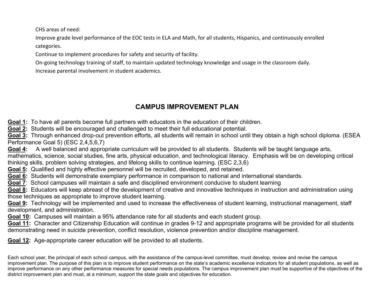CHS areas of need:

Improve grade level performance of the EOC tests in ELA and Math, for all students, Hispanics, and continuously enrolled categories.

Continue to implement procedures for safety and security of facility.

On-going technology training of staff, to maintain updated technology knowledge and usage in the classroom daily.

Increase parental involvement in student academics.

# **CAMPUS IMPROVEMENT PLAN**

**Goal 1:** To have all parents become full partners with educators in the education of their children.

**Goal 2:** Students will be encouraged and challenged to meet their full educational potential.

**Goal 3:** Through enhanced drop-out prevention efforts, all students will remain in school until they obtain a high school diploma. (ESEA Performance Goal 5) (ESC 2,4,5,6,7)

**Goal 4:** A well balanced and appropriate curriculum will be provided to all students. Students will be taught language arts, mathematics, science, social studies, fine arts, physical education, and technological literacy. Emphasis will be on developing critical thinking skills, problem solving strategies, and lifelong skills to continue learning. (ESC 2,3,6)

**Goal 5:** Qualified and highly effective personnel will be recruited, developed, and retained.

**Goal 6:** Students will demonstrate exemplary performance in comparison to national and international standards.

**Goal 7**: School campuses will maintain a safe and disciplined environment conducive to student learning

**Goal 8:** Educators will keep abreast of the development of creative and innovative techniques in instruction and administration using those techniques as appropriate to improve student learning.

**Goal 9:** Technology will be implemented and used to increase the effectiveness of student learning, instructional management, staff development, and administration.

**Goal 10:** Campuses will maintain a 95% attendance rate for all students and each student group.

**Goal 11:** Character and Citizenship Education will continue in grades 9-12 and appropriate programs will be provided for all students demonstrating need in suicide prevention, conflict resolution, violence prevention and/or discipline management.

**Goal 12:** Age-appropriate career education will be provided to all students.

Each school year, the principal of each school campus, with the assistance of the campus-level committee, must develop, review and revise the campus improvement plan. The purpose of this plan is to improve student performance on the state's academic excellence indicators for all student populations, as well as improve performance on any other performance measures for special needs populations. The campus improvement plan must be supportive of the objectives of the district improvement plan and must, at a minimum, support the state goals and objectives for education.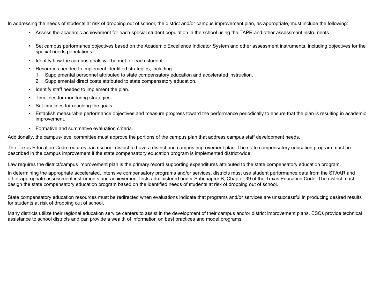In addressing the needs of students at risk of dropping out of school, the district and/or campus improvement plan, as appropriate, must include the following:

- Assess the academic achievement for each special student population in the school using the TAPR and other assessment instruments.
- Set campus performance objectives based on the Academic Excellence Indicator System and other assessment instruments, including objectives for the special needs populations.
- Identify how the campus goals will be met for each student.
- Resources needed to implement identified strategies, including:
	- 1. Supplemental personnel attributed to state compensatory education and accelerated instruction.
	- 2. Supplemental direct costs attributed to state compensatory education.
- Identify staff needed to implement the plan.
- Timelines for monitoring strategies.
- Set timelines for reaching the goals.
- Establish measurable performance objectives and measure progress toward the performance periodically to ensure that the plan is resulting in academic improvement.
- Formative and summative evaluation criteria.

Additionally, the campus-level committee must approve the portions of the campus plan that address campus staff development needs.

The Texas Education Code requires each school district to have a district and campus improvement plan. The state compensatory education program must be described in the campus improvement if the state compensatory education program is implemented district-wide.

Law requires the district/campus improvement plan is the primary record supporting expenditures attributed to the state compensatory education program.

In determining the appropriate accelerated, intensive compensatory programs and/or services, districts must use student performance data from the STAAR and other appropriate assessment instruments and achievement tests administered under Subchapter B, Chapter 39 of the Texas Education Code. The district must design the state compensatory education program based on the identified needs of students at risk of dropping out of school.

State compensatory education resources must be redirected when evaluations indicate that programs and/or services are unsuccessful in producing desired results for students at risk of dropping out of school.

Many districts utilize their regional education service centers to assist in the development of their campus and/or district improvement plans. ESCs provide technical assistance to school districts and can provide a wealth of information on best practices and model programs.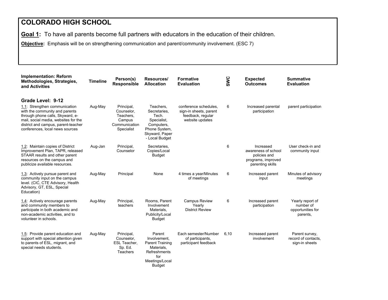**Goal 1:** To have all parents become full partners with educators in the education of their children.

**Objective:** Emphasis will be on strengthening communication and parent/community involvement. (ESC 7)

| <b>Implementation: Reform</b><br>Methodologies, Strategies,<br>and Activities                                                                                                                                         | <b>Timeline</b> | Person(s)<br><b>Responsible</b>                                                | Resources/<br><b>Allocation</b>                                                                                      | <b>Formative</b><br><b>Evaluation</b>                                                   | SWC  | <b>Expected</b><br><b>Outcomes</b>                                                         | <b>Summative</b><br><b>Evaluation</b>                          |
|-----------------------------------------------------------------------------------------------------------------------------------------------------------------------------------------------------------------------|-----------------|--------------------------------------------------------------------------------|----------------------------------------------------------------------------------------------------------------------|-----------------------------------------------------------------------------------------|------|--------------------------------------------------------------------------------------------|----------------------------------------------------------------|
| Grade Level: 9-12                                                                                                                                                                                                     |                 |                                                                                |                                                                                                                      |                                                                                         |      |                                                                                            |                                                                |
| 1.1: Strengthen communication<br>with the community and parents<br>through phone calls, Skyward, e-<br>mail, social media, websites for the<br>district and campus, parent-teacher<br>conferences, local news sources | Aug-May         | Principal,<br>Counselor,<br>Teachers.<br>Campus<br>Communication<br>Specialist | Teachers,<br>Secretaries.<br>Tech.<br>Specialist,<br>Computers,<br>Phone System,<br>Skyward, Paper<br>- Local Budget | conference schedules.<br>sign-in sheets, parent<br>feedback, regular<br>website updates | 6    | Increased parental<br>participation                                                        | parent participation                                           |
| 1.2: Maintain copies of District<br>Improvement Plan, TAPR, released<br>STAAR results and other parent<br>resources on the campus and<br>publicize available resources.                                               | Aug-Jan         | Principal,<br>Counselor                                                        | Secretaries,<br>Copies/Local<br><b>Budget</b>                                                                        |                                                                                         | 6    | Increased<br>awareness of school<br>policies and<br>programs, improved<br>parenting skills | User check-in and<br>community input                           |
| 1.3: Actively pursue parent and<br>community input on the campus<br>level. (CIC, CTE Advisory, Health<br>Advisory, GT, ESL, Special<br>Education)                                                                     | Aug-May         | Principal                                                                      | None                                                                                                                 | 4 times a year/Minutes<br>of meetings                                                   | 6    | Increased parent<br>input                                                                  | Minutes of advisory<br>meetings                                |
| 1.4: Actively encourage parents<br>and community members to<br>participate in both academic and<br>non-academic activities, and to<br>volunteer in schools.                                                           | Aug-May         | Principal,<br>teachers                                                         | Rooms, Parent<br>Involvement<br>Materials,<br>Publicity/Local<br><b>Budget</b>                                       | <b>Campus Review</b><br>Yearly<br><b>District Review</b>                                | 6    | Increased parent<br>participation                                                          | Yearly report of<br>number of<br>opportunities for<br>parents, |
| 1.5: Provide parent education and<br>support with special attention given<br>to parents of ESL, migrant, and<br>special needs students.                                                                               | Aug-May         | Principal,<br>Counselor,<br><b>ESL Teacher.</b><br>Sp. Ed.<br>Teachers         | Parent<br>Involvement,<br>Parent Training<br>Materials,<br>Refreshments<br>for<br>Meetings/Local<br><b>Budget</b>    | Each semester/Number<br>of participants.<br>participant feedback                        | 6,10 | Increased parent<br>involvement                                                            | Parent survey,<br>record of contacts.<br>sign-in sheets        |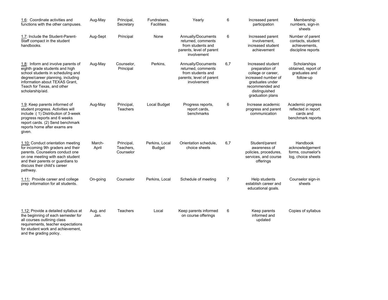| 1.6: Coordinate activities and<br>functions with the other campuses.                                                                                                                                                               | Aug-May          | Principal,<br>Secretary              | Fundraisers,<br><b>Facilities</b> | Yearly                                                                                                   | 6   | Increased parent<br>participation                                                                                                                           | Membership<br>numbers, sign-in<br>sheets                                     |
|------------------------------------------------------------------------------------------------------------------------------------------------------------------------------------------------------------------------------------|------------------|--------------------------------------|-----------------------------------|----------------------------------------------------------------------------------------------------------|-----|-------------------------------------------------------------------------------------------------------------------------------------------------------------|------------------------------------------------------------------------------|
| 1.7: Include the Student-Parent-<br>Staff compact in the student<br>handbooks.                                                                                                                                                     | Aug-Sept         | Principal                            | None                              | Annually/Documents<br>returned, comments<br>from students and<br>parents, level of parent<br>involvement | 6   | Increased parent<br>involvement.<br>increased student<br>achievement                                                                                        | Number of parent<br>contacts, student<br>achievements,<br>discipline reports |
| 1.8: Inform and involve parents of<br>eighth grade students and high<br>school students in scheduling and<br>degree/career planning, including<br>information about TEXAS Grant,<br>Teach for Texas, and other<br>scholarship/aid. | Aug-May          | Counselor,<br>Principal              | Perkins,                          | Annually/Documents<br>returned, comments<br>from students and<br>parents; level of parent<br>involvement | 6,7 | Increased student<br>preparation of<br>college or career,<br>increased number of<br>graduates under<br>recommended and<br>distinguished<br>graduation plans | Scholarships<br>obtained, report of<br>graduates and<br>follow-up            |
| 1.9: Keep parents informed of<br>student progress. Activities will<br>include: (1) Distribution of 3-week<br>progress reports and 6 weeks<br>report cards. (2) Send benchmark<br>reports home after exams are<br>given.            | Aug-May          | Principal,<br><b>Teachers</b>        | Local Budget                      | Progress reports,<br>report cards.<br>benchmarks                                                         | 6   | Increase academic<br>progress and parent<br>communication                                                                                                   | Academic progress<br>reflected in report<br>cards and<br>benchmark reports   |
| 1.10: Conduct orientation meeting<br>for incoming 9th graders and their<br>parents. Counselors conduct one<br>on one meeting with each student<br>and their parents or guardians to<br>discuss their child's career<br>pathway.    | March-<br>April  | Principal,<br>Teachers,<br>Counselor | Perkins, Local<br><b>Budget</b>   | Orientation schedule,<br>choice sheets                                                                   | 6,7 | Student/parent<br>awareness of<br>policies, procedures,<br>services, and course<br>offerings                                                                | Handbook<br>acknowledgement<br>forms, counselor's<br>log, choice sheets      |
| 1.11: Provide career and college<br>prep information for all students.                                                                                                                                                             | On-going         | Counselor                            | Perkins, Local                    | Schedule of meeting                                                                                      | 7   | Help students<br>establish career and<br>educational goals.                                                                                                 | Counselor sign-in<br>sheets                                                  |
| 1.12: Provide a detailed syllabus at<br>the beginning of each semester for<br>all courses outlining class<br>requirements, teacher expectations<br>for student work and achievement,<br>and the grading policy.                    | Aug. and<br>Jan. | Teachers                             | Local                             | Keep parents informed<br>on course offerings                                                             | 6   | Keep parents<br>informed and<br>updated                                                                                                                     | Copies of syllabus                                                           |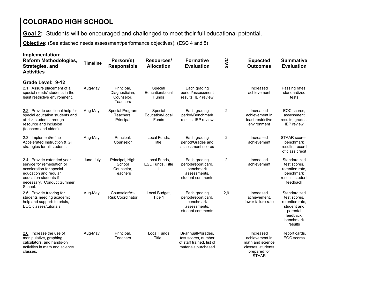**Goal 2:** Students will be encouraged and challenged to meet their full educational potential.

**Objective: (**See attached needs assessment/performance objectives). (ESC 4 and 5)

| Implementation:<br><b>Reform Methodologies,</b><br>Strategies, and<br><b>Activities</b>                                                                                        | <b>Timeline</b> | Person(s)<br><b>Responsible</b>                        | Resources/<br><b>Allocation</b>         | <b>Formative</b><br><b>Evaluation</b>                                                          | SWC            | <b>Expected</b><br><b>Outcomes</b>                                                                   | <b>Summative</b><br><b>Evaluation</b>                                                                           |
|--------------------------------------------------------------------------------------------------------------------------------------------------------------------------------|-----------------|--------------------------------------------------------|-----------------------------------------|------------------------------------------------------------------------------------------------|----------------|------------------------------------------------------------------------------------------------------|-----------------------------------------------------------------------------------------------------------------|
| Grade Level: 9-12<br>2.1: Assure placement of all<br>special needs' students in the<br>least restrictive environment.                                                          | Aug-May         | Principal,<br>Diagnostician,<br>Counselor,<br>Teachers | Special<br>Education/Local<br>Funds     | Each grading<br>period/assessment<br>results, IEP review                                       |                | Increased<br>achievement                                                                             | Passing rates,<br>standardized<br>tests                                                                         |
| 2.2: Provide additional help for<br>special education students and<br>at-risk students through<br>resource and inclusion<br>(teachers and aides).                              | Aug-May         | Special Program<br>Teachers,<br>Principal              | Special<br>Education/Local<br>Funds     | Each grading<br>period/Benchmark<br>results, IEP review                                        | 2              | Increased<br>achievement in<br>least restrictive<br>environment                                      | EOC scores,<br>assessment<br>results, grades,<br><b>IEP</b> review                                              |
| 2.3: Implement/refine<br>Accelerated Instruction & GT<br>strategies for all students.                                                                                          | Aug-May         | Principal,<br>Counselor                                | Local Funds,<br>Title I                 | Each grading<br>period/Grades and<br>assessment scores                                         | 2              | Increased<br>achievement                                                                             | STAAR scores,<br>benchmark<br>results, record<br>of class credit                                                |
| 2.4: Provide extended year<br>service for remediation or<br>acceleration for special<br>education and regular<br>education students if<br>necessary. Conduct Summer<br>School. | June-July       | Principal, High<br>School<br>Counselor,<br>Teachers    | Local Funds.<br><b>ESL Funds, Title</b> | Each grading<br>period/report card,<br>benchmark<br>assessments.<br>student comments           | $\overline{c}$ | Increased<br>achievement                                                                             | Standardized<br>test scores.<br>retention rate.<br>benchmark<br>results, student<br>feedback                    |
| 2.5: Provide tutoring for<br>students needing academic<br>help and support: tutorials,<br>EOC classes/tutorials                                                                | Aug-May         | Counselor/At-<br><b>Risk Coordinator</b>               | Local Budget,<br>Title 1                | Each grading<br>period/report card,<br>benchmark<br>assessments.<br>student comments           | 2,9            | Increased<br>achievement.<br>lower failure rate                                                      | Standardized<br>test scores.<br>retention rate.<br>student and<br>parental<br>feedback,<br>benchmark<br>results |
| 2.6: Increase the use of<br>manipulative, graphing<br>calculators, and hands-on<br>activities in math and science<br>classes.                                                  | Aug-May         | Principal,<br>Teachers                                 | Local Funds,<br>Title I                 | Bi-annually/grades,<br>test scores, number<br>of staff trained, list of<br>materials purchased |                | Increased<br>achievement in<br>math and science<br>classes, students<br>prepared for<br><b>STAAR</b> | Report cards,<br>EOC scores                                                                                     |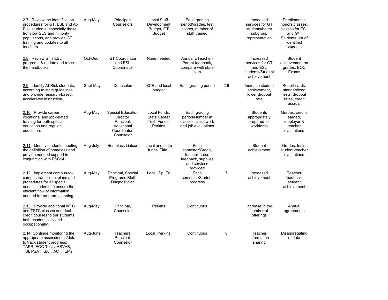| 2.7: Review the identification<br>procedures for GT, ESL and At-<br>Risk students, especially those<br>from low SES and minority<br>populations, and provide GT<br>training and updates to all<br>teachers. | Aug-May  | Principals,<br>Counselors                                                                      | <b>Local Staff</b><br>Development<br>Budget, GT<br><b>Budget</b>     | Each grading<br>period/grades, test<br>scores, number of<br>staff trained                  |                | Increased<br>services for GT<br>students/better<br>subgroup<br>representation | Enrollment in<br>honors classes.<br>classes for ESL<br>and G/T<br>Students, list of<br>identified<br>students |
|-------------------------------------------------------------------------------------------------------------------------------------------------------------------------------------------------------------|----------|------------------------------------------------------------------------------------------------|----------------------------------------------------------------------|--------------------------------------------------------------------------------------------|----------------|-------------------------------------------------------------------------------|---------------------------------------------------------------------------------------------------------------|
| 2.8: Review GT / ESL<br>programs & update and revise<br>the handbooks.                                                                                                                                      | Oct-Dec  | <b>GT Coordinator</b><br>and ESL<br>Coordinator                                                | None needed                                                          | Annually/Teacher-<br>Parent feedback,<br>compare with state<br>plan                        |                | Increased<br>services for GT<br>and ESL<br>students/Student<br>achievement    | Student<br>achievement on<br>grades, EOC<br>Exams                                                             |
| 2.9: Identify At-Risk students,<br>according to state guidelines<br>and provide research-based,<br>accelerated instruction.                                                                                 | Sept-May | Counselors                                                                                     | SCE and local<br>budget                                              | Each grading period                                                                        | 2,9            | Increase student<br>achievement,<br>lower dropout<br>rate                     | Report cards,<br>standardized<br>tests, dropout<br>rates, credit<br>accrual                                   |
| 2.10: Provide career,<br>vocational and job-related<br>training for both special<br>education and regular<br>education.                                                                                     | Aug-May  | <b>Special Education</b><br>Director,<br>Principal,<br>Vocational<br>Coordinator,<br>Counselor | Local Funds.<br><b>State Career</b><br>Tech Funds,<br><b>Perkins</b> | Each grading<br>period/Number in<br>classes, class work<br>and job evaluations             |                | <b>Students</b><br>appropriately<br>prepared for<br>workforce                 | Grades, credits<br>earned,<br>employer &<br>teacher<br>evaluations                                            |
| 2.11: Identify students meeting<br>the definition of homeless and<br>provide needed support in<br>conjunction with ESC14.                                                                                   | Aug-July | Homeless Liaison                                                                               | Local and state<br>funds, Title I                                    | Each<br>semester/Grade,<br>teacher-nurse<br>feedback, supplies<br>and services<br>provided |                | Student<br>achievement                                                        | Grades, tests,<br>student-teacher<br>evaluations                                                              |
| 2.12: Implement campus-to-<br>campus transitional plans and<br>procedures for all special<br>needs' students to ensure the<br>efficient flow of information<br>needed for program planning.                 | Aug-May  | Principal, Special<br>Programs Staff,<br>Diagnostician                                         | Local, Sp. Ed                                                        | Each<br>semester/Student<br>progress                                                       | $\overline{7}$ | Increased<br>achievement                                                      | Teacher<br>feedback,<br>student<br>achievement                                                                |
| 2.13: Provide additional WTC<br>and TSTC classes and dual<br>credit courses to our students<br>both academically and<br>occupationally.                                                                     | Aug-May  | Principal,<br>Counselor                                                                        | Perkins                                                              | Continuous                                                                                 |                | Increase in the<br>number of<br>offerings                                     | Annual<br>agreements                                                                                          |
| 2.14: Continue monitoring the<br>appropriate assessments/data<br>to track student progress:<br>TAPR, EOC Tests, ASVAB,<br>TSI, PSAT, SAT, ACT, IEP's                                                        | Aug-June | Teachers,<br>Principal,<br>Counselor                                                           | Local, Perkins,                                                      | Continuous                                                                                 | 8              | Teacher<br>information<br>sharing                                             | Disaggregating<br>of data                                                                                     |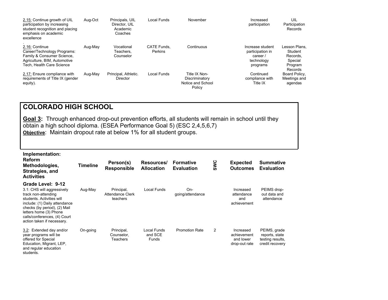| 2.15: Continue growth of UIL<br>participation by increasing<br>student recognition and placing<br>emphasis on academic<br>excellence     | Aug-Oct | Principals, UIL<br>Director, UIL<br>Academic<br>Coaches | Local Funds                   | November                                                       | Increased<br>participation                                                 | UIL<br>Participation<br>Records                                       |
|------------------------------------------------------------------------------------------------------------------------------------------|---------|---------------------------------------------------------|-------------------------------|----------------------------------------------------------------|----------------------------------------------------------------------------|-----------------------------------------------------------------------|
| 2.16: Continue<br>Career/Technology Programs:<br>Family & Consumer Science,<br>Agriculture, BIM, Automotive<br>Tech. Health Care Science | Aug-May | Vocational<br>Teachers.<br>Counselor                    | <b>CATE Funds.</b><br>Perkins | Continuous                                                     | Increase student<br>participation in<br>career /<br>technology<br>programs | Lesson Plans.<br>Student<br>Records,<br>Special<br>Program<br>Records |
| 2.17: Ensure compliance with<br>requirements of Title IX (gender<br>equity).                                                             | Aug-May | Principal, Athletic.<br>Director                        | Local Funds                   | Title IX Non-<br>Discriminatory<br>Notice and School<br>Policy | Continued<br>compliance with<br>Title IX                                   | Board Policy,<br>Meetings and<br>agendas                              |

**Goal 3:** Through enhanced drop-out prevention efforts, all students will remain in school until they obtain a high school diploma. (ESEA Performance Goal 5) (ESC 2,4,5,6,7) **Objective**: Maintain dropout rate at below 1% for all student groups.

| Implementation:<br><b>Reform</b><br>Methodologies,<br>Strategies, and<br><b>Activities</b>                                                                                                                                                                   | <b>Timeline</b> | Person(s)<br><b>Responsible</b>             | Resources/<br><b>Allocation</b> | <b>Formative</b><br><b>Evaluation</b> | SWC            | <b>Expected</b><br><b>Outcomes</b>                     | <b>Summative</b><br><b>Evaluation</b>                                 |
|--------------------------------------------------------------------------------------------------------------------------------------------------------------------------------------------------------------------------------------------------------------|-----------------|---------------------------------------------|---------------------------------|---------------------------------------|----------------|--------------------------------------------------------|-----------------------------------------------------------------------|
| Grade Level: 9-12<br>3.1: CHS will aggressively<br>track non-attending<br>students. Activities will<br>include: (1) Daily attendance<br>checks (by period), (2) Mail<br>letters home (3) Phone<br>calls/conferences, (4) Court<br>action taken if necessary. | Aug-May         | Principal,<br>Attendance Clerk<br>teachers  | <b>Local Funds</b>              | On-<br>going/attendance               |                | Increased<br>attendance<br>and<br>achievement          | PEIMS drop-<br>out data and<br>attendance                             |
| 3.2: Extended day and/or<br>year programs will be<br>offered for Special<br>Education, Migrant, LEP,<br>and regular education<br>students.                                                                                                                   | On-going        | Principal,<br>Counselor,<br><b>Teachers</b> | Local Funds<br>and SCE<br>Funds | <b>Promotion Rate</b>                 | $\overline{2}$ | Increased<br>achievement<br>and lower<br>drop-out rate | PEIMS, grade<br>reports, state<br>testing results,<br>credit recovery |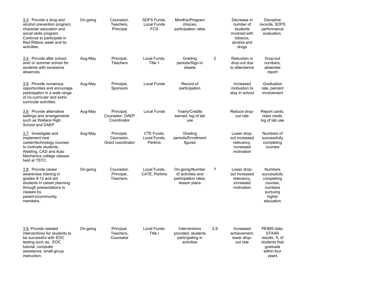| 3.3: Provide a drug and<br>alcohol prevention program,<br>character education and<br>social skills program.<br>Continue to participate in<br>Red Ribbon week and its<br>activities. | On-going | Counselor,<br>Teachers,<br>Principal          | SDFS Funds,<br>Local Funds<br><b>FCS</b> | Monthly/Program<br>choices.<br>participation rates                           |                | Decrease in<br>number of<br>students<br>involved with<br>tobacco,<br>alcohol and<br>drugs | <b>Discipline</b><br>records, SDFS<br>performance<br>evaluation,                                       |
|-------------------------------------------------------------------------------------------------------------------------------------------------------------------------------------|----------|-----------------------------------------------|------------------------------------------|------------------------------------------------------------------------------|----------------|-------------------------------------------------------------------------------------------|--------------------------------------------------------------------------------------------------------|
| 3.4: Provide after school,<br>and/ or summer school for<br>students with excessive<br>absences.                                                                                     | Aug-May  | Principal,<br><b>Teachers</b>                 | Local Funds,<br>Title 1                  | Grading<br>periods/Sign-in<br>sheets                                         | $\overline{c}$ | Reduction in<br>drop-out due<br>to attendance                                             | Drop-out<br>numbers.<br>absentee<br>report                                                             |
| 3.5: Provide numerous<br>opportunities and encourage<br>participation in a wide range<br>of co-curricular and extra-<br>curricular activities.                                      | Aug-May  | Principal,<br>Sponsors                        | <b>Local Funds</b>                       | Record of<br>participation                                                   |                | Increased<br>motivation to<br>stay in school                                              | Graduation<br>rate, percent<br>involvement                                                             |
| 3.6: Provide alternative<br>settings and arrangements<br>such as Wallace High<br>School and DAEP.                                                                                   | Aug-May  | Principal,<br>Counselor, DAEP<br>Coordinator  | <b>Local Funds</b>                       | Yearly/Credits<br>earned, log of lab<br>use                                  |                | Reduce drop-<br>out rate                                                                  | Report cards,<br>class credit,<br>log of lab use                                                       |
| 3.7: Investigate and<br>implement new<br>career/technology courses<br>to motivate students.<br>Welding, CAD and Auto<br>Mechanics college classes<br>held at TSTC.                  | Aug-May  | Principal,<br>Counselor,<br>Grant coordinator | CTE Funds,<br>Local Funds,<br>Perkins    | Grading<br>periods/Enrollment<br>figures                                     |                | Lower drop-<br>out increased<br>relevancy,<br>increased<br>motivation                     | Numbers of<br>successfully<br>completing<br>courses                                                    |
| 3.8: Provide career<br>awareness training in<br>grades 9-12 and aid<br>students in career planning<br>through presentations to<br>classes by<br>parent's/community<br>members.      | On-going | Counselor,<br>Principal,<br>Teachers,         | Local Funds,<br>CATE, Perkins            | On-going/Number<br>of activities and<br>participation rates,<br>lesson plans | 7              | Lower drop-<br>out increased<br>relevancy,<br>increased<br>motivation                     | <b>Numbers</b><br>successfully<br>completing<br>courses.<br>numbers<br>pursuing<br>higher<br>education |
| 3.9: Provide needed<br>interventions for students to<br>be successful with EOC<br>testing such as: EOC<br>tutorial, computer<br>assistance, small group<br>instruction.             | On-going | Principal,<br>Teachers,<br>Counselor          | Local Funds.<br>Title I                  | Interventions<br>provided, students<br>participating in<br>activities        | 2,9            | Increased<br>achievement,<br>lower drop-<br>out rate                                      | PEIMS data,<br><b>STAAR</b><br>results, % of<br>students that<br>graduate<br>within four<br>years      |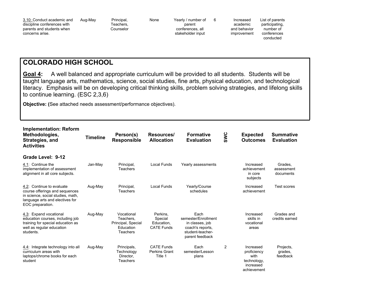| 3.10: Conduct academic and<br>discipline conferences with<br>parents and students when<br>concerns arise. | Aug-May | Principal,<br>Геасһers.<br>Counselor | None | Yearly / number of<br>parent<br>conferences, all<br>stakeholder input |  | Increased<br>academic<br>and behavior<br>improvement | List of parents<br>participating,<br>number of<br>conferences<br>conducted |  |
|-----------------------------------------------------------------------------------------------------------|---------|--------------------------------------|------|-----------------------------------------------------------------------|--|------------------------------------------------------|----------------------------------------------------------------------------|--|
|-----------------------------------------------------------------------------------------------------------|---------|--------------------------------------|------|-----------------------------------------------------------------------|--|------------------------------------------------------|----------------------------------------------------------------------------|--|

**Goal 4:** A well balanced and appropriate curriculum will be provided to all students. Students will be taught language arts, mathematics, science, social studies, fine arts, physical education, and technological literacy. Emphasis will be on developing critical thinking skills, problem solving strategies, and lifelong skills to continue learning. (ESC 2,3,6)

**Objective: (**See attached needs assessment/performance objectives).

| <b>Implementation: Reform</b><br>Methodologies,<br>Strategies, and<br><b>Activities</b>                                                                 | <b>Timeline</b> | Person(s)<br><b>Responsible</b>                                        | Resources/<br><b>Allocation</b>                        | <b>Formative</b><br><b>Evaluation</b>                                                                     | SWC | <b>Expected</b><br><b>Outcomes</b>                                          | <b>Summative</b><br><b>Evaluation</b> |
|---------------------------------------------------------------------------------------------------------------------------------------------------------|-----------------|------------------------------------------------------------------------|--------------------------------------------------------|-----------------------------------------------------------------------------------------------------------|-----|-----------------------------------------------------------------------------|---------------------------------------|
| Grade Level: 9-12                                                                                                                                       |                 |                                                                        |                                                        |                                                                                                           |     |                                                                             |                                       |
| 4.1: Continue the<br>implementation of assessment<br>alignment in all core subjects.                                                                    | Jan-May         | Principal,<br>Teachers                                                 | Local Funds                                            | Yearly assessments                                                                                        |     | Increased<br>achievement<br>in core<br>subjects                             | Grades,<br>assessment<br>documents    |
| 4.2: Continue to evaluate<br>course offerings and sequences<br>in science, social studies, math,<br>language arts and electives for<br>EOC preparation. | Aug-May         | Principal,<br>Teachers                                                 | <b>Local Funds</b>                                     | Yearly/Course<br>schedules                                                                                |     | Increased<br>achievement                                                    | <b>Test scores</b>                    |
| 4.3: Expand vocational<br>education courses, including job<br>training for special education as<br>well as regular education<br>students.               | Aug-May         | Vocational<br>Teachers.<br>Principal, Special<br>Education<br>Teachers | Perkins.<br>Special<br>Education,<br><b>CATE Funds</b> | Each<br>semester/Enrollment<br>in classes, job<br>coach's reports.<br>student-teacher-<br>parent feedback |     | Increased<br>skills in<br>vocational<br>areas                               | Grades and<br>credits earned          |
| 4.4: Integrate technology into all<br>curriculum areas with<br>laptops/chrome books for each<br>student                                                 | Aug-May         | Principals,<br>Technology<br>Director,<br><b>Teachers</b>              | <b>CATE Funds</b><br>Perkins Grant<br>Title 1          | Each<br>semester/Lesson<br>plans                                                                          | 2   | Increased<br>proficiency<br>with<br>technology,<br>increased<br>achievement | Projects,<br>grades,<br>feedback      |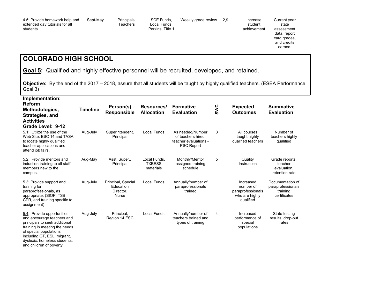| 4.5: Provide homework help and<br>extended day tutorials for all<br>students. | Sept-May | Principals.<br>Teachers | SCE Funds.<br>Local Funds.<br>Perkins, Title 1 | Weekly grade review                                                                                             | 2.9 | Increase<br>student<br>achievement | Current year<br>state<br>assessment<br>data, report<br>card grades,<br>and credits<br>earned. |  |
|-------------------------------------------------------------------------------|----------|-------------------------|------------------------------------------------|-----------------------------------------------------------------------------------------------------------------|-----|------------------------------------|-----------------------------------------------------------------------------------------------|--|
| <b>COLORADO HIGH SCHOOL</b>                                                   |          |                         |                                                |                                                                                                                 |     |                                    |                                                                                               |  |
|                                                                               | -- -     |                         | .                                              | the contract of the contract of the contract of the contract of the contract of the contract of the contract of |     |                                    |                                                                                               |  |

**Goal 5:** Qualified and highly effective personnel will be recruited, developed, and retained.

**Objective:** By the end of the 2017 – 2018, assure that all students will be taught by highly qualified teachers. (ESEA Performance Goal 3)

| Implementation:<br><b>Reform</b><br>Methodologies,<br>Strategies, and<br><b>Activities</b><br>Grade Level: 9-12                                                                                                                                 | <b>Timeline</b> | Person(s)<br><b>Responsible</b>                              | Resources/<br><b>Allocation</b>            | <b>Formative</b><br><b>Evaluation</b>                                                | SWC | <b>Expected</b><br><b>Outcomes</b>                                         | <b>Summative</b><br><b>Evaluation</b>                             |
|-------------------------------------------------------------------------------------------------------------------------------------------------------------------------------------------------------------------------------------------------|-----------------|--------------------------------------------------------------|--------------------------------------------|--------------------------------------------------------------------------------------|-----|----------------------------------------------------------------------------|-------------------------------------------------------------------|
| 5.1: Utilize the use of the<br>Web Site, ESC 14 and TASA<br>to locate highly qualified<br>teacher applications and<br>attend job fairs.                                                                                                         | Aug-July        | Superintendent,<br>Principal                                 | Local Funds                                | As needed/Number<br>of teachers hired.<br>teacher evaluations -<br><b>PSC Report</b> | 3   | All courses<br>taught highly<br>qualified teachers                         | Number of<br>teachers highly<br>qualified                         |
| 5.2: Provide mentors and<br>induction training to all staff<br>members new to the<br>campus.                                                                                                                                                    | Aug-May         | Asst. Super.,<br>Principal                                   | Local Funds,<br><b>TXBESS</b><br>materials | Monthly/Mentor<br>assigned training<br>schedule                                      | 5   | Quality<br>Instruction                                                     | Grade reports.<br>teacher<br>evaluation.<br>retention rate        |
| 5.3: Provide support and<br>training for<br>paraprofessionals, as<br>appropriate. (SIOP, TSBI,<br>CPR, and training specific to<br>assignment)                                                                                                  | Aug-July        | Principal, Special<br>Education<br>Director.<br><b>Nurse</b> | <b>Local Funds</b>                         | Annually/number of<br>paraprofessionals<br>trained                                   |     | Increased<br>number of<br>paraprofessionals<br>who are highly<br>qualified | Documentation of<br>paraprofessionals<br>training<br>certificates |
| 5.4: Provide opportunities<br>and encourage teachers and<br>principals to seek additional<br>training in meeting the needs<br>of special populations<br>including GT, ESL, migrant,<br>dyslexic, homeless students,<br>and children of poverty. | Aug-July        | Principal,<br>Region 14 ESC                                  | Local Funds                                | Annually/number of<br>teachers trained and<br>types of training                      | 4   | Increased<br>performance of<br>special<br>populations                      | State testing<br>results, drop-out<br>rates                       |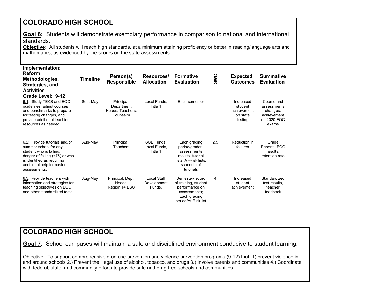**Goal 6:** Students will demonstrate exemplary performance in comparison to national and international standards.

**Objective:** All students will reach high standards, at a minimum attaining proficiency or better in reading/language arts and mathematics, as evidenced by the scores on the state assessments.

| Implementation:<br><b>Reform</b><br>Methodologies,<br>Strategies, and<br><b>Activities</b><br>Grade Level: 9-12                                                                                   | <b>Timeline</b> | Person(s)<br><b>Responsible</b>                           | Resources/<br><b>Allocation</b>              | <b>Formative</b><br><b>Evaluation</b>                                                                                   | SWC | <b>Expected</b><br>Outcomes                                | <b>Summative</b><br><b>Evaluation</b>                                        |
|---------------------------------------------------------------------------------------------------------------------------------------------------------------------------------------------------|-----------------|-----------------------------------------------------------|----------------------------------------------|-------------------------------------------------------------------------------------------------------------------------|-----|------------------------------------------------------------|------------------------------------------------------------------------------|
| 6.1: Study TEKS and EOC<br>quidelines, adjust courses<br>and benchmarks to prepare<br>for testing changes, and<br>provide additional teaching<br>resources as needed.                             | Sept-May        | Principal,<br>Department<br>Heads, Teachers,<br>Counselor | Local Funds,<br>Title 1                      | Each semester                                                                                                           |     | Increased<br>student<br>achievement<br>on state<br>testing | Course and<br>assessments<br>changes,<br>achievement<br>on 2020 EOC<br>exams |
| 6.2: Provide tutorials and/or<br>summer school for any<br>student who is failing, in<br>danger of failing (<75) or who<br>is identified as requiring<br>additional help to master<br>assessments. | Aug-May         | Principal,<br>Teachers                                    | <b>SCE Funds,</b><br>Local Funds.<br>Title 1 | Each grading<br>period/grades,<br>assessments<br>results, tutorial<br>lists, At-Risk lists,<br>schedule of<br>tutorials | 2,9 | Reduction in<br>failures                                   | Grade<br>Reports, EOC<br>results.<br>retention rate                          |
| 6.3: Provide teachers with<br>information and strategies for<br>teaching objectives on EOC<br>and other standardized tests                                                                        | Aug-May         | Principal, Dept.<br>Heads,<br>Region 14 ESC               | Local Staff<br>Development<br>Funds,         | Semester/record<br>of training, student<br>performance on<br>assessments:<br>Each grading<br>period/At-Risk list        | 4   | Increased<br>student<br>achievement                        | Standardized<br>test results,<br>teacher<br>feedback                         |

#### **COLORADO HIGH SCHOOL**

**Goal 7**: School campuses will maintain a safe and disciplined environment conducive to student learning.

Objective: To support comprehensive drug use prevention and violence prevention programs (9-12) that: 1) prevent violence in and around schools 2.) Prevent the illegal use of alcohol, tobacco, and drugs 3.) Involve parents and communities 4.) Coordinate with federal, state, and community efforts to provide safe and drug-free schools and communities.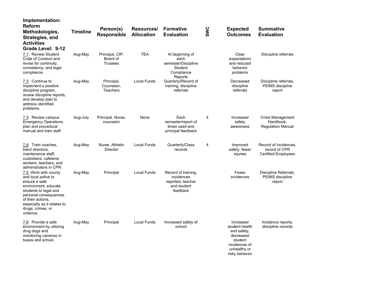| Implementation:<br>Reform<br>Methodologies,<br>Strategies, and<br><b>Activities</b><br>Grade Level: 9-12                                                                                                                      | <b>Timeline</b> | Person(s)<br><b>Responsible</b>                | Resources/<br><b>Allocation</b> | <b>Formative</b><br><b>Evaluation</b>                                              | SWC | <b>Expected</b><br><b>Outcomes</b>                                                                                    | <b>Summative</b><br><b>Evaluation</b>                                |
|-------------------------------------------------------------------------------------------------------------------------------------------------------------------------------------------------------------------------------|-----------------|------------------------------------------------|---------------------------------|------------------------------------------------------------------------------------|-----|-----------------------------------------------------------------------------------------------------------------------|----------------------------------------------------------------------|
| 7.1: Review Student<br>Code of Conduct and<br>revise for continuity,<br>consistency, and legal<br>compliance.                                                                                                                 | Aug-May         | Principal, CIP,<br>Board of<br><b>Trustees</b> | <b>TEA</b>                      | At beginning of<br>each<br>semester/Discipline<br>Student<br>Compliance<br>Reports |     | Clear<br>expectations<br>and reduced<br>behavior<br>problems                                                          | Discipline referrals                                                 |
| 7.2: Continue to<br>implement a positive<br>discipline program,<br>review discipline reports,<br>and develop plan to<br>address identified<br>problems.                                                                       | Aug-May         | Principal,<br>Counselor,<br>Teachers           | Local Funds                     | Quarterly/Record of<br>training, discipline<br>referrals                           |     | Decreased<br>discipline<br>referrals                                                                                  | Discipline referrals,<br>PEIMS discipline<br>report                  |
| 7.3: Review campus<br><b>Emergency Operations</b><br>plan and procedural<br>manual and train staff.                                                                                                                           | Aug-July        | Principal, Nurse,<br>counselor                 | None                            | Each<br>semester/report of<br>times used and<br>principal feedback                 | 4   | Increased<br>safety<br>awareness                                                                                      | Crisis Management<br>Handbook,<br><b>Regulation Manual</b>           |
| 7.4: Train coaches,<br>band directors.<br>maintenance staff,<br>custodians, cafeteria<br>workers, teachers, and<br>administrators in CPR.                                                                                     | Aug-May         | Nurse, Athletic<br>Director                    | Local Funds                     | Quarterly/Class<br>records                                                         | 4   | Improved<br>safety, fewer<br>injuries                                                                                 | Record of incidences,<br>record of CPR<br><b>Certified Employees</b> |
| 7.5: Work with county<br>and local police to<br>ensure a safe<br>environment, educate<br>students to legal and<br>personal consequences<br>of their actions.<br>especially as it relates to<br>drugs, crimes, or<br>violence. | Aug-May         | Principal                                      | Local Funds                     | Record of training,<br>incidences<br>reported, teacher<br>and student<br>feedback  |     | Fewer<br>incidences                                                                                                   | Discipline Referrals,<br>PEIMS discipline<br>report                  |
| 7.6: Provide a safe<br>environment by utilizing<br>drug dogs and<br>monitoring cameras in<br>buses and school.                                                                                                                | Aug-May         | Principal                                      | <b>Local Funds</b>              | Increased safety of<br>school                                                      |     | Increased<br>student health<br>and safety,<br>decreased<br>student<br>incidences of<br>unhealthy or<br>risky behavior | Incidence reports,<br>discipline records                             |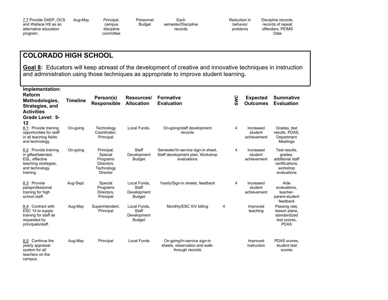| 7.7 Provide DAEP, OCS |  |
|-----------------------|--|
| and Wallace HS as an  |  |
| alternative education |  |
| program.              |  |

Aug-May Principal, campus discipline committee Personnel Budget Each semester/Discipline records

Reduction in behavior problems

Discipline records, records of repeat offenders, PEIMS Data

#### **COLORADO HIGH SCHOOL**

**Goal 8:** Educators will keep abreast of the development of creative and innovative techniques in instruction and administration using those techniques as appropriate to improve student learning.

**Implementation:** 

| <b>Reform</b><br>Methodologies,<br>Strategies, and<br><b>Activities</b><br>Grade Level: 9-<br>12                      | <b>Timeline</b> | Person(s)<br><b>Responsible</b>                                           | Resources/<br><b>Allocation</b>                       | <b>Formative</b><br><b>Evaluation</b>                                                 |   | SWC | <b>Expected</b><br><b>Outcomes</b>  | <b>Summative</b><br><b>Evaluation</b>                                                      |
|-----------------------------------------------------------------------------------------------------------------------|-----------------|---------------------------------------------------------------------------|-------------------------------------------------------|---------------------------------------------------------------------------------------|---|-----|-------------------------------------|--------------------------------------------------------------------------------------------|
| 8.1: Provide training<br>opportunities for staff<br>in all teaching fields<br>and technology.                         | On-going        | Technology<br>Coordinator,<br>Principal                                   | Local Funds.                                          | On-going/staff development<br>records                                                 |   | 4   | Increased<br>student<br>achievement | Grades, test<br>results, PDAS,<br>Department<br>Meetings                                   |
| 8.2: Provide training<br>in gifted/talented,<br>ESL, effective<br>teaching strategies,<br>and technology<br>training. | On-going        | Principal,<br>Special<br>Programs<br>Directors,<br>Technology<br>Director | Staff<br>Development<br><b>Budget</b>                 | Semester/In-service sign-in sheet,<br>Staff development plan, Workshop<br>evaluations |   | 4   | Increased<br>student<br>achievement | Test results,<br>grades,<br>additional staff<br>certifications,<br>workshop<br>evaluations |
| 8.3: Provide<br>paraprofessional<br>training for high<br>school staff.                                                | Aug-Sept.       | Special<br>Programs<br>Directors,<br>Principal                            | Local Funds.<br>Staff<br>Development<br><b>Budget</b> | Yearly/Sign-in sheets, feedback                                                       |   | 4   | Increased<br>student<br>achievement | Aide<br>evaluations,<br>teacher-<br>parent-student<br>feedback                             |
| 8.4: Contract with<br>ESC 14 to supply<br>training for staff as<br>requested by<br>principals/staff.                  | Aug-May         | Superintendent,<br>Principal                                              | Local Funds,<br>Staff<br>Development<br>Budget        | Monthly/ESC XIV billing                                                               | 4 |     | Improved<br>teaching                | Passing rate,<br>lesson plans,<br>standardized<br>test scores.<br><b>PDAS</b>              |
| 8.5: Continue the<br>yearly appraisal<br>system for all<br>teachers on the<br>campus.                                 | Aug-May         | Principal                                                                 | <b>Local Funds</b>                                    | On-going/In-service sign-in<br>sheets, observation and walk-<br>through records       |   |     | Improved<br>instruction             | PDAS scores,<br>student test<br>scores                                                     |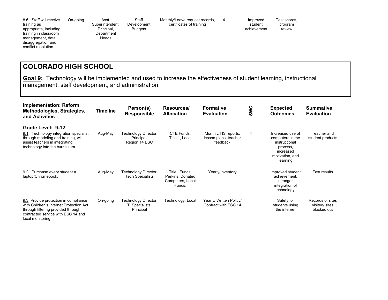8.6: Staff will receive training as appropriate, including training in classroom management, data disaggregation and conflict resolution.

On-going Asst. Superintendent, Principal,

**Heads** 

**Department** Staff Development Budgets

Monthly/Leave request records, certificates of training

4 Improved student achievement Test scores, program review

#### **COLORADO HIGH SCHOOL**

**Goal 9:** Technology will be implemented and used to increase the effectiveness of student learning, instructional management, staff development, and administration.

| <b>Implementation: Reform</b><br>Methodologies, Strategies,<br>and Activities                                                                                                     | Timeline | Person(s)<br><b>Responsible</b>                      | Resources/<br><b>Allocation</b>                                  | <b>Formative</b><br><b>Evaluation</b>                     | SWC | <b>Expected</b><br><b>Outcomes</b>                                                                            | <b>Summative</b><br><b>Evaluation</b>             |
|-----------------------------------------------------------------------------------------------------------------------------------------------------------------------------------|----------|------------------------------------------------------|------------------------------------------------------------------|-----------------------------------------------------------|-----|---------------------------------------------------------------------------------------------------------------|---------------------------------------------------|
| Grade Level: 9-12<br>Technology integration specialist,<br>9.1:<br>through modeling and training, will<br>assist teachers in integrating<br>technology into the curriculum.       | Aug-May  | Technology Director,<br>Principal,<br>Region 14 ESC  | CTE Funds.<br>Title 1, Local                                     | Monthly/TIS reports,<br>lesson plans, teacher<br>feedback | 4   | Increased use of<br>computers in the<br>instructional<br>process,<br>increased<br>motivation, and<br>learning | Teacher and<br>student products                   |
| 9.2: Purchase every student a<br>laptop/Chromebook.                                                                                                                               | Aug-May  | Technology Director,<br><b>Tech Specialists</b>      | Title I Funds,<br>Perkins, Donated<br>Computers, Local<br>Funds, | Yearly/Inventory                                          |     | Improved student<br>achievement.<br>stronger<br>integration of<br>technology,                                 | Test results                                      |
| 9.3: Provide protection in compliance<br>with Children's Internet Protection Act<br>through filtering provided through<br>contracted service with ESC 14 and<br>local monitoring. | On-going | Technology Director,<br>TI Specialists,<br>Principal | Technology, Local                                                | Yearly/ Written Policy/<br>Contract with ESC 14           |     | Safety for<br>students using<br>the internet                                                                  | Records of sites<br>visited/ sites<br>blocked out |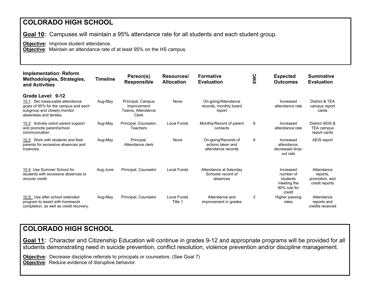**Goal 10:** Campuses will maintain a 95% attendance rate for all students and each student group.

**Objective:** Improve student attendance.

**Objective**: Maintain an attendance rate of at least 95% on the HS campus.

| <b>Implementation: Reform</b><br>Methodologies, Strategies,<br>and Activities                                                                          | <b>Timeline</b> | Person(s)<br><b>Responsible</b>                                | Resources/<br><b>Allocation</b> | <b>Formative</b><br><b>Evaluation</b>                          | SWC            | <b>Expected</b><br><b>Outcomes</b>                                          | <b>Summative</b><br><b>Evaluation</b>                      |
|--------------------------------------------------------------------------------------------------------------------------------------------------------|-----------------|----------------------------------------------------------------|---------------------------------|----------------------------------------------------------------|----------------|-----------------------------------------------------------------------------|------------------------------------------------------------|
| Grade Level: 9-12<br>10.1: Set measurable attendance<br>goals of 95% for the campus and each<br>subgroup and closely monitor<br>absentees and tardies. | Aug-May         | Principal, Campus<br>Improvement<br>Teams, Attendance<br>Clerk | None                            | On-going/Attendance<br>records, monthly board<br>report        |                | Increased<br>attendance rate                                                | District & TEA<br>campus report<br>cards                   |
| 10.2: Actively solicit parent support<br>and promote parent/school<br>communication.                                                                   | Aug-May         | Principal, Counselor,<br><b>Teachers</b>                       | Local Funds                     | Monthly/Record of parent<br>contacts                           | 6              | Increased<br>attendance rate                                                | District AEIS &<br><b>TEA campus</b><br>report cards       |
| 10.3: Work with students and their<br>parents for excessive absences and<br>truancies.                                                                 | Aug-May         | Principal,<br>Attendance clerk                                 | None                            | On-going/Records of<br>actions taken and<br>attendance records | 6              | Increased<br>attendance,<br>decreased drop-<br>out rate                     | AEIS report                                                |
| 10.4: Use Summer School for<br>students with excessive absences to<br>recover credit.                                                                  | Aug-June        | Principal, Counselor                                           | Local Funds                     | Attendance at Saturday<br>Schools/record of<br>absences        |                | Increased<br>number of<br>students<br>meeting the<br>90% rule for<br>credit | Attendance<br>reports,<br>promotion, and<br>credit reports |
| 10.5: Use after school extended<br>program to assist with homework<br>completion, as well as credit recovery.                                          | Aug-May         | Principal, Counselor                                           | Local Funds<br>Title 1          | Attendance and<br>improvement in grades                        | $\overline{2}$ | Higher passing<br>rates                                                     | Attendance<br>reports and<br>credits received              |

#### **COLORADO HIGH SCHOOL**

**Goal 11:** Character and Citizenship Education will continue in grades 9-12 and appropriate programs will be provided for all students demonstrating need in suicide prevention, conflict resolution, violence prevention and/or discipline management.

**Objective:** Decrease discipline referrals to principals or counselors. (See Goal 7) **Objective**: Reduce evidence of disruptive behavior.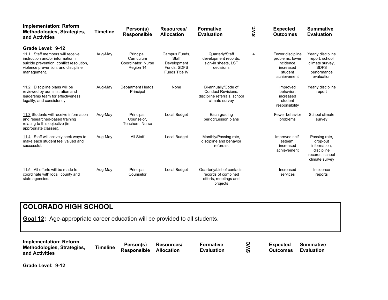| <b>Implementation: Reform</b><br>Methodologies, Strategies,<br>and Activities                                                                                                                | Timeline | Person(s)<br><b>Responsible</b>                             | Resources/<br><b>Allocation</b>                                        | <b>Formative</b><br><b>Evaluation</b>                                                              | SWC | <b>Expected</b><br><b>Outcomes</b>                                                       | <b>Summative</b><br><b>Evaluation</b>                                                              |
|----------------------------------------------------------------------------------------------------------------------------------------------------------------------------------------------|----------|-------------------------------------------------------------|------------------------------------------------------------------------|----------------------------------------------------------------------------------------------------|-----|------------------------------------------------------------------------------------------|----------------------------------------------------------------------------------------------------|
| Grade Level: 9-12<br>11.1: Staff members will receive<br>instruction and/or information in<br>suicide prevention, conflict resolution,<br>violence prevention, and discipline<br>management. | Aug-May  | Principal,<br>Curriculum<br>Coordinator, Nurse<br>Region 14 | Campus Funds,<br>Staff<br>Development<br>Funds, SDFS<br>Funds Title IV | Quarterly/Staff<br>development records.<br>sign-in sheets, LST<br>decisions                        | 4   | Fewer discipline<br>problems, lower<br>incidence.<br>increased<br>student<br>achievement | Yearly discipline<br>report, school<br>climate survey,<br><b>SDFS</b><br>performance<br>evaluation |
| 11.2: Discipline plans will be<br>reviewed by administration and<br>leadership team for effectiveness,<br>legality, and consistency.                                                         | Aug-May  | Department Heads,<br>Principal                              | None                                                                   | Bi-annually/Code of<br><b>Conduct Revisions,</b><br>discipline referrals, school<br>climate survey |     | Improved<br>behavior,<br>increased<br>student<br>responsibility                          | Yearly discipline<br>report                                                                        |
| 11.3 Students will receive information<br>and researched-based training<br>relating to this objective (in<br>appropriate classes).                                                           | Aug-May  | Principal,<br>Counselor,<br>Teachers, Nurse                 | Local Budget                                                           | Each grading<br>period/Lesson plans                                                                |     | Fewer behavior<br>problems                                                               | School climate<br>survey                                                                           |
| 11.4: Staff will actively seek ways to<br>make each student feel valued and<br>successful.                                                                                                   | Aug-May  | All Staff                                                   | Local Budget                                                           | Monthly/Passing rate,<br>discipline and behavior<br>referrals                                      |     | Improved self-<br>esteem,<br>increased<br>achievement                                    | Passing rate,<br>drop-out<br>information,<br>discipline<br>records, school<br>climate survey       |
| 11.5: All efforts will be made to<br>coordinate with local, county and<br>state agencies.                                                                                                    | Aug-May  | Principal,<br>Counselor                                     | Local Budget                                                           | Quarterly/List of contacts,<br>records of combined<br>efforts, meetings and<br>projects            |     | Increased<br>services                                                                    | Incidence<br>reports                                                                               |

**Goal 12:** Age-appropriate career education will be provided to all students.

**Implementation: Reform Methodologies, Strategies, and Activities Timeline Person(s) Responsible Allocation Resources/ Formative Evaluation SWC Expected Outcomes Summative Evaluation**

**Grade Level: 9-12**